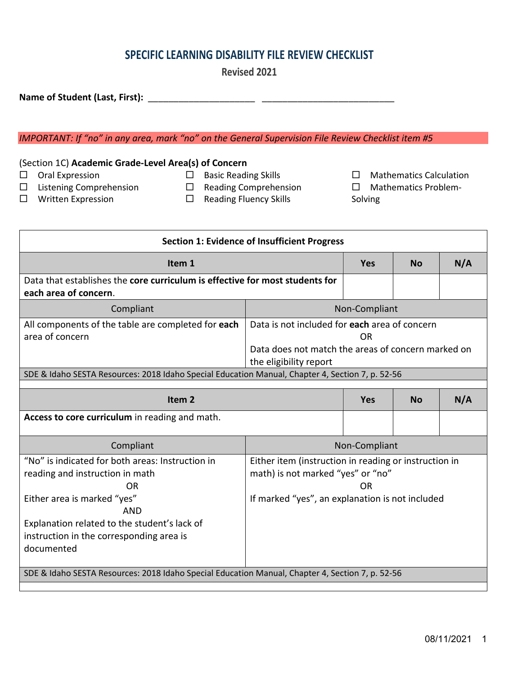# **SPECIFIC LEARNING DISABILITY FILE REVIEW CHECKLIST**

**Revised 2021**

**Name of Student (Last, First):** \_\_\_\_\_\_\_\_\_\_\_\_\_\_\_\_\_\_\_\_\_ \_\_\_\_\_\_\_\_\_\_\_\_\_\_\_\_\_\_\_\_\_\_\_\_\_\_

### *IMPORTANT: If "no" in any area, mark "no" on the General Supervision File Review Checklist item #5*

## (Section 1C) **Academic Grade-Level Area(s) of Concern**

 $\Box$  Oral Expression

- $\square$  Basic Reading Skills
- □ Listening Comprehension
	-
- □ Reading Comprehension
	- $\Box$  Reading Fluency Skills

**Section 1: Evidence of Insufficient Progress**

- $\Box$  Mathematics Calculation
- □ Mathematics Problem-Solving

□ Written Expression

| Item 1                                                                                                                                                                                                                                                       |                                                                                                                                                     | <b>Yes</b> | <b>No</b> | N/A |
|--------------------------------------------------------------------------------------------------------------------------------------------------------------------------------------------------------------------------------------------------------------|-----------------------------------------------------------------------------------------------------------------------------------------------------|------------|-----------|-----|
| Data that establishes the core curriculum is effective for most students for<br>each area of concern.                                                                                                                                                        |                                                                                                                                                     |            |           |     |
| Compliant                                                                                                                                                                                                                                                    | Non-Compliant                                                                                                                                       |            |           |     |
| All components of the table are completed for each<br>area of concern                                                                                                                                                                                        | Data is not included for each area of concern<br>OR<br>Data does not match the areas of concern marked on<br>the eligibility report                 |            |           |     |
| SDE & Idaho SESTA Resources: 2018 Idaho Special Education Manual, Chapter 4, Section 7, p. 52-56                                                                                                                                                             |                                                                                                                                                     |            |           |     |
| Item <sub>2</sub>                                                                                                                                                                                                                                            |                                                                                                                                                     | <b>Yes</b> | <b>No</b> | N/A |
| Access to core curriculum in reading and math.                                                                                                                                                                                                               |                                                                                                                                                     |            |           |     |
| Compliant                                                                                                                                                                                                                                                    | Non-Compliant                                                                                                                                       |            |           |     |
| "No" is indicated for both areas: Instruction in<br>reading and instruction in math<br>0 <sub>R</sub><br>Either area is marked "yes"<br><b>AND</b><br>Explanation related to the student's lack of<br>instruction in the corresponding area is<br>documented | Either item (instruction in reading or instruction in<br>math) is not marked "yes" or "no"<br>OR<br>If marked "yes", an explanation is not included |            |           |     |
| SDE & Idaho SESTA Resources: 2018 Idaho Special Education Manual, Chapter 4, Section 7, p. 52-56                                                                                                                                                             |                                                                                                                                                     |            |           |     |
|                                                                                                                                                                                                                                                              |                                                                                                                                                     |            |           |     |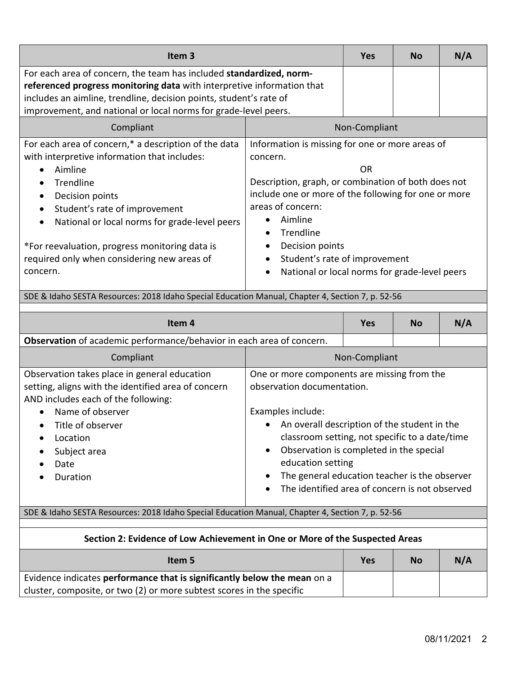| Item <sub>3</sub>                                                                                                                                                                                                                                                                                                                                                                                                      |                                                                                                                                                                                                                                                                                                                                                                   | <b>Yes</b> | <b>No</b> | N/A |
|------------------------------------------------------------------------------------------------------------------------------------------------------------------------------------------------------------------------------------------------------------------------------------------------------------------------------------------------------------------------------------------------------------------------|-------------------------------------------------------------------------------------------------------------------------------------------------------------------------------------------------------------------------------------------------------------------------------------------------------------------------------------------------------------------|------------|-----------|-----|
| For each area of concern, the team has included standardized, norm-<br>referenced progress monitoring data with interpretive information that<br>includes an aimline, trendline, decision points, student's rate of<br>improvement, and national or local norms for grade-level peers.                                                                                                                                 |                                                                                                                                                                                                                                                                                                                                                                   |            |           |     |
| Compliant                                                                                                                                                                                                                                                                                                                                                                                                              | Non-Compliant                                                                                                                                                                                                                                                                                                                                                     |            |           |     |
| For each area of concern,* a description of the data<br>with interpretive information that includes:<br>Aimline<br>$\bullet$<br><b>Trendline</b><br>$\bullet$<br>Decision points<br>$\bullet$<br>Student's rate of improvement<br>$\bullet$<br>National or local norms for grade-level peers<br>$\bullet$<br>*For reevaluation, progress monitoring data is<br>required only when considering new areas of<br>concern. | Information is missing for one or more areas of<br>concern.<br>0R<br>Description, graph, or combination of both does not<br>include one or more of the following for one or more<br>areas of concern:<br>Aimline<br>Trendline<br>$\bullet$<br>Decision points<br>$\bullet$<br>Student's rate of improvement<br>National or local norms for grade-level peers<br>٠ |            |           |     |

# SDE & Idaho SESTA Resources: 2018 Idaho Special Education Manual, Chapter 4, Section 7, p. 52-56

| Item <sub>4</sub>                                                                                                                                                                                                                                                                                    |                                                                                                                                                                                                                                                                                                                                                                                                      | <b>Yes</b> | <b>No</b> | N/A |  |
|------------------------------------------------------------------------------------------------------------------------------------------------------------------------------------------------------------------------------------------------------------------------------------------------------|------------------------------------------------------------------------------------------------------------------------------------------------------------------------------------------------------------------------------------------------------------------------------------------------------------------------------------------------------------------------------------------------------|------------|-----------|-----|--|
| Observation of academic performance/behavior in each area of concern.                                                                                                                                                                                                                                |                                                                                                                                                                                                                                                                                                                                                                                                      |            |           |     |  |
| Compliant                                                                                                                                                                                                                                                                                            | Non-Compliant                                                                                                                                                                                                                                                                                                                                                                                        |            |           |     |  |
| Observation takes place in general education<br>setting, aligns with the identified area of concern<br>AND includes each of the following:<br>Name of observer<br>$\bullet$<br>Title of observer<br>$\bullet$<br>Location<br>$\bullet$<br>Subject area<br>$\bullet$<br>Date<br>$\bullet$<br>Duration | One or more components are missing from the<br>observation documentation.<br>Examples include:<br>• An overall description of the student in the<br>classroom setting, not specific to a date/time<br>Observation is completed in the special<br>$\bullet$<br>education setting<br>The general education teacher is the observer<br>٠<br>The identified area of concern is not observed<br>$\bullet$ |            |           |     |  |

#### SDE & Idaho SESTA Resources: 2018 Idaho Special Education Manual, Chapter 4, Section 7, p. 52-56

| Section 2: Evidence of Low Achievement in One or More of the Suspected Areas |     |           |     |
|------------------------------------------------------------------------------|-----|-----------|-----|
| Item 5                                                                       | Yes | <b>No</b> | N/A |
| Evidence indicates performance that is significantly below the mean on a     |     |           |     |
| cluster, composite, or two (2) or more subtest scores in the specific        |     |           |     |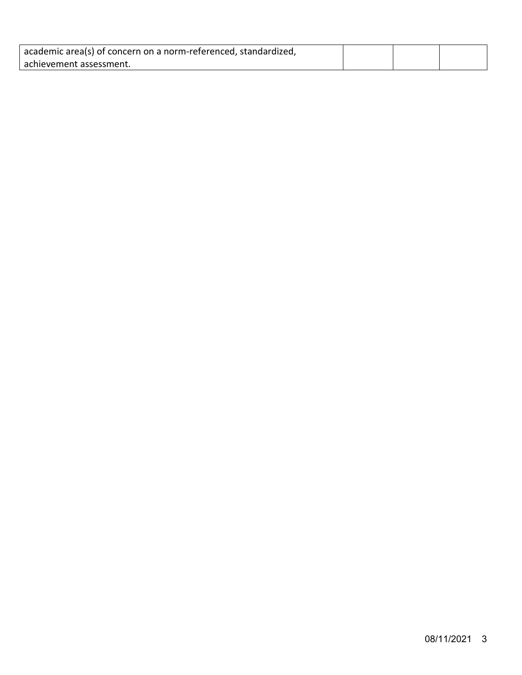| academic area(s) of concern on a norm-referenced, standardized, |  |  |
|-----------------------------------------------------------------|--|--|
| achievement assessment.                                         |  |  |